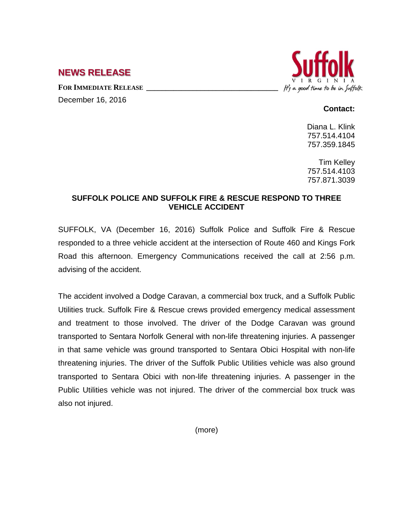## **NEWS RELEASE**

FOR **IMMEDIATE RELEASE** 

December 16, 2016



## **Contact:**

Diana L. Klink 757.514.4104 757.359.1845

Tim Kelley 757.514.4103 757.871.3039

## **SUFFOLK POLICE AND SUFFOLK FIRE & RESCUE RESPOND TO THREE VEHICLE ACCIDENT**

SUFFOLK, VA (December 16, 2016) Suffolk Police and Suffolk Fire & Rescue responded to a three vehicle accident at the intersection of Route 460 and Kings Fork Road this afternoon. Emergency Communications received the call at 2:56 p.m. advising of the accident.

The accident involved a Dodge Caravan, a commercial box truck, and a Suffolk Public Utilities truck. Suffolk Fire & Rescue crews provided emergency medical assessment and treatment to those involved. The driver of the Dodge Caravan was ground transported to Sentara Norfolk General with non-life threatening injuries. A passenger in that same vehicle was ground transported to Sentara Obici Hospital with non-life threatening injuries. The driver of the Suffolk Public Utilities vehicle was also ground transported to Sentara Obici with non-life threatening injuries. A passenger in the Public Utilities vehicle was not injured. The driver of the commercial box truck was also not injured.

(more)